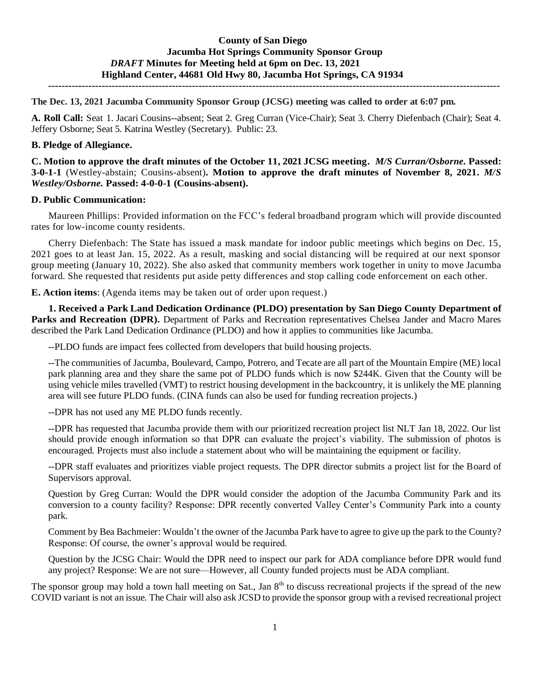# **County of San Diego Jacumba Hot Springs Community Sponsor Group** *DRAFT* **Minutes for Meeting held at 6pm on Dec. 13, 2021 Highland Center, 44681 Old Hwy 80, Jacumba Hot Springs, CA 91934**

**---------------------------------------------------------------------------------------------------------------------------------------**

**The Dec. 13, 2021 Jacumba Community Sponsor Group (JCSG) meeting was called to order at 6:07 pm.**

**A. Roll Call:** Seat 1. Jacari Cousins--absent; Seat 2. Greg Curran (Vice-Chair); Seat 3. Cherry Diefenbach (Chair); Seat 4. Jeffery Osborne; Seat 5. Katrina Westley (Secretary). Public: 23.

#### **B. Pledge of Allegiance.**

**C. Motion to approve the draft minutes of the October 11, 2021 JCSG meeting.** *M/S Curran/Osborne.* **Passed: 3-0-1-1** (Westley-abstain; Cousins-absent)**. Motion to approve the draft minutes of November 8, 2021.** *M/S Westley/Osborne.* **Passed: 4-0-0-1 (Cousins-absent).** 

#### **D. Public Communication:**

Maureen Phillips: Provided information on the FCC's federal broadband program which will provide discounted rates for low-income county residents.

Cherry Diefenbach: The State has issued a mask mandate for indoor public meetings which begins on Dec. 15, 2021 goes to at least Jan. 15, 2022. As a result, masking and social distancing will be required at our next sponsor group meeting (January 10, 2022). She also asked that community members work together in unity to move Jacumba forward. She requested that residents put aside petty differences and stop calling code enforcement on each other.

**E. Action items**: (Agenda items may be taken out of order upon request.)

**1. Received a Park Land Dedication Ordinance (PLDO) presentation by San Diego County Department of Parks and Recreation (DPR).** Department of Parks and Recreation representatives Chelsea Jander and Macro Mares described the Park Land Dedication Ordinance (PLDO) and how it applies to communities like Jacumba.

--PLDO funds are impact fees collected from developers that build housing projects.

--The communities of Jacumba, Boulevard, Campo, Potrero, and Tecate are all part of the Mountain Empire (ME) local park planning area and they share the same pot of PLDO funds which is now \$244K. Given that the County will be using vehicle miles travelled (VMT) to restrict housing development in the backcountry, it is unlikely the ME planning area will see future PLDO funds. (CINA funds can also be used for funding recreation projects.)

--DPR has not used any ME PLDO funds recently.

--DPR has requested that Jacumba provide them with our prioritized recreation project list NLT Jan 18, 2022. Our list should provide enough information so that DPR can evaluate the project's viability. The submission of photos is encouraged. Projects must also include a statement about who will be maintaining the equipment or facility.

--DPR staff evaluates and prioritizes viable project requests. The DPR director submits a project list for the Board of Supervisors approval.

Question by Greg Curran: Would the DPR would consider the adoption of the Jacumba Community Park and its conversion to a county facility? Response: DPR recently converted Valley Center's Community Park into a county park.

Comment by Bea Bachmeier: Wouldn't the owner of the Jacumba Park have to agree to give up the park to the County? Response: Of course, the owner's approval would be required.

Question by the JCSG Chair: Would the DPR need to inspect our park for ADA compliance before DPR would fund any project? Response: We are not sure—However, all County funded projects must be ADA compliant.

The sponsor group may hold a town hall meeting on Sat., Jan  $8<sup>th</sup>$  to discuss recreational projects if the spread of the new COVID variant is not an issue. The Chair will also ask JCSD to provide the sponsor group with a revised recreational project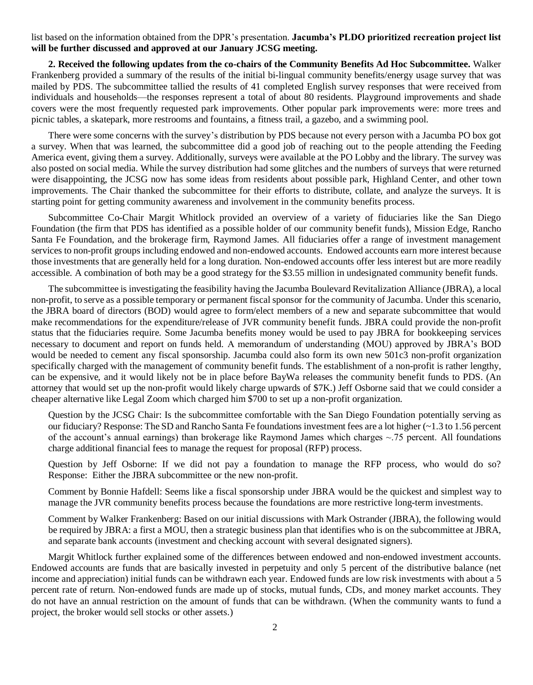list based on the information obtained from the DPR's presentation. **Jacumba's PLDO prioritized recreation project list will be further discussed and approved at our January JCSG meeting.**

**2. Received the following updates from the co-chairs of the Community Benefits Ad Hoc Subcommittee.** Walker Frankenberg provided a summary of the results of the initial bi-lingual community benefits/energy usage survey that was mailed by PDS. The subcommittee tallied the results of 41 completed English survey responses that were received from individuals and households—the responses represent a total of about 80 residents. Playground improvements and shade covers were the most frequently requested park improvements. Other popular park improvements were: more trees and picnic tables, a skatepark, more restrooms and fountains, a fitness trail, a gazebo, and a swimming pool.

There were some concerns with the survey's distribution by PDS because not every person with a Jacumba PO box got a survey. When that was learned, the subcommittee did a good job of reaching out to the people attending the Feeding America event, giving them a survey. Additionally, surveys were available at the PO Lobby and the library. The survey was also posted on social media. While the survey distribution had some glitches and the numbers of surveys that were returned were disappointing, the JCSG now has some ideas from residents about possible park, Highland Center, and other town improvements. The Chair thanked the subcommittee for their efforts to distribute, collate, and analyze the surveys. It is starting point for getting community awareness and involvement in the community benefits process.

Subcommittee Co-Chair Margit Whitlock provided an overview of a variety of fiduciaries like the San Diego Foundation (the firm that PDS has identified as a possible holder of our community benefit funds), Mission Edge, Rancho Santa Fe Foundation, and the brokerage firm, Raymond James. All fiduciaries offer a range of investment management services to non-profit groups including endowed and non-endowed accounts. Endowed accounts earn more interest because those investments that are generally held for a long duration. Non-endowed accounts offer less interest but are more readily accessible. A combination of both may be a good strategy for the \$3.55 million in undesignated community benefit funds.

The subcommittee is investigating the feasibility having the Jacumba Boulevard Revitalization Alliance (JBRA), a local non-profit, to serve as a possible temporary or permanent fiscal sponsor for the community of Jacumba. Under this scenario, the JBRA board of directors (BOD) would agree to form/elect members of a new and separate subcommittee that would make recommendations for the expenditure/release of JVR community benefit funds. JBRA could provide the non-profit status that the fiduciaries require. Some Jacumba benefits money would be used to pay JBRA for bookkeeping services necessary to document and report on funds held. A memorandum of understanding (MOU) approved by JBRA's BOD would be needed to cement any fiscal sponsorship. Jacumba could also form its own new 501c3 non-profit organization specifically charged with the management of community benefit funds. The establishment of a non-profit is rather lengthy, can be expensive, and it would likely not be in place before BayWa releases the community benefit funds to PDS. (An attorney that would set up the non-profit would likely charge upwards of \$7K.) Jeff Osborne said that we could consider a cheaper alternative like Legal Zoom which charged him \$700 to set up a non-profit organization.

Question by the JCSG Chair: Is the subcommittee comfortable with the San Diego Foundation potentially serving as our fiduciary? Response: The SD and Rancho Santa Fe foundations investment fees are a lot higher (~1.3 to 1.56 percent of the account's annual earnings) than brokerage like Raymond James which charges  $\sim$ .75 percent. All foundations charge additional financial fees to manage the request for proposal (RFP) process.

Question by Jeff Osborne: If we did not pay a foundation to manage the RFP process, who would do so? Response: Either the JBRA subcommittee or the new non-profit.

Comment by Bonnie Hafdell: Seems like a fiscal sponsorship under JBRA would be the quickest and simplest way to manage the JVR community benefits process because the foundations are more restrictive long-term investments.

Comment by Walker Frankenberg: Based on our initial discussions with Mark Ostrander (JBRA), the following would be required by JBRA: a first a MOU, then a strategic business plan that identifies who is on the subcommittee at JBRA, and separate bank accounts (investment and checking account with several designated signers).

Margit Whitlock further explained some of the differences between endowed and non-endowed investment accounts. Endowed accounts are funds that are basically invested in perpetuity and only 5 percent of the distributive balance (net income and appreciation) initial funds can be withdrawn each year. Endowed funds are low risk investments with about a 5 percent rate of return. Non-endowed funds are made up of stocks, mutual funds, CDs, and money market accounts. They do not have an annual restriction on the amount of funds that can be withdrawn. (When the community wants to fund a project, the broker would sell stocks or other assets.)